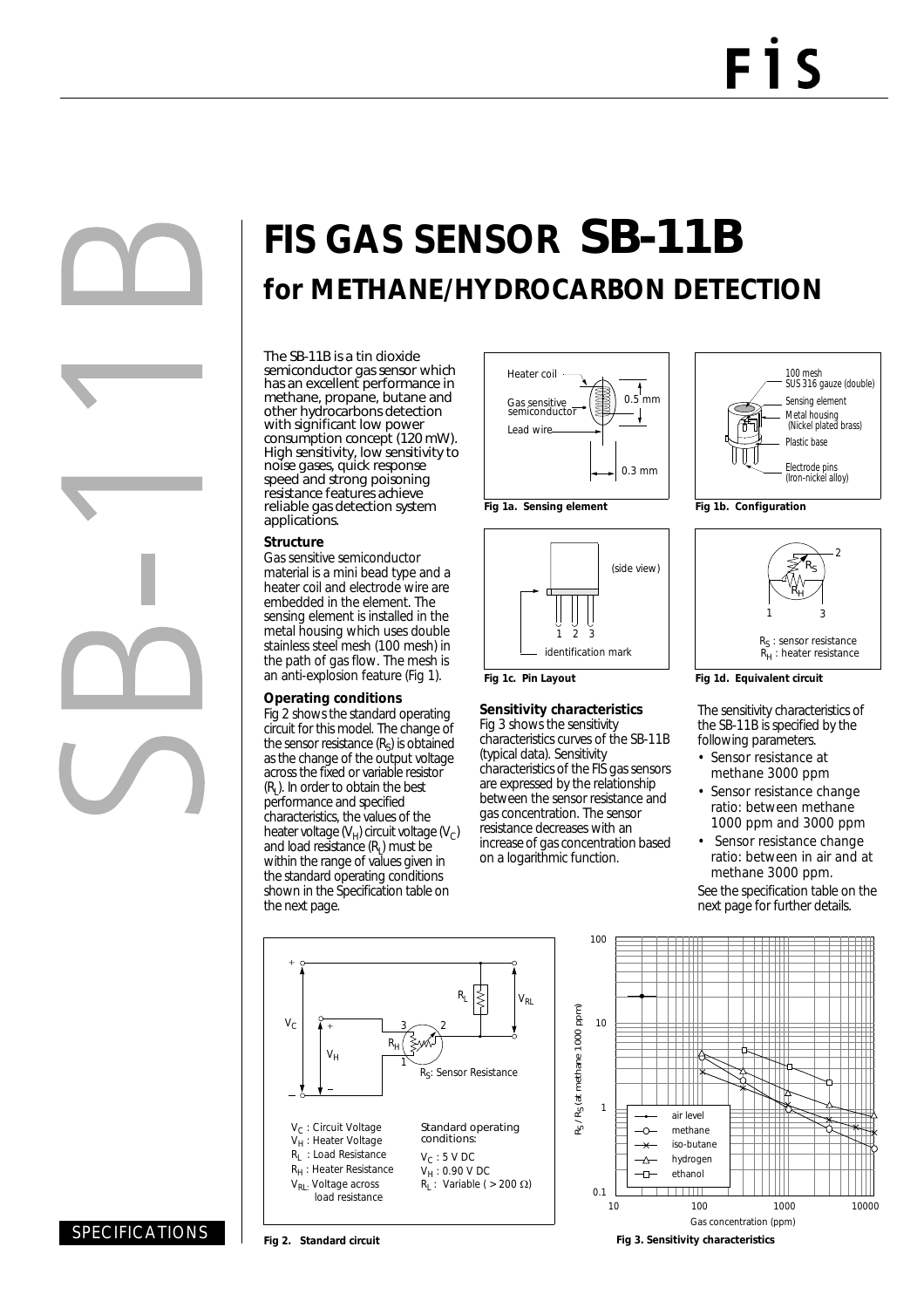# **FIS GAS SENSOR** SB-11B **for METHANE/HYDROCARBON DETECTION**

The SB-11B is a tin dioxide semiconductor gas sensor which has an excellent performance in methane, propane, butane and other hydrocarbons detection with significant low power consumption concept (120 mW). High sensitivity, low sensitivity to noise gases, quick response speed and strong poisoning resistance features achieve reliable gas detection system applications.

#### **Structure**

Gas sensitive semiconductor material is a mini bead type and a heater coil and electrode wire are embedded in the element. The sensing element is installed in the metal housing which uses double stainless steel mesh (100 mesh) in the path of gas flow. The mesh is an anti-explosion feature (Fig 1).

#### **Operating conditions**

Fig 2 shows the standard operating circuit for this model. The change of the sensor resistance  $(R<sub>S</sub>)$  is obtained as the change of the output voltage across the fixed or variable resistor  $(R<sub>l</sub>)$ . In order to obtain the best performance and specified characteristics, the values of the heater voltage  $(V_H)$  circuit voltage  $(V_C)$ and load resistance  $(R<sub>L</sub>)$  must be within the range of values given in the standard operating conditions shown in the Specification table on the next page.





**Fig 1c. Pin Layout**

#### **Sensitivity characteristics**

Fig 3 shows the sensitivity characteristics curves of the SB-11B (typical data). Sensitivity characteristics of the FIS gas sensors are expressed by the relationship between the sensor resistance and gas concentration. The sensor resistance decreases with an increase of gas concentration based on a logarithmic function.





**Fig 1d. Equivalent circuit**

The sensitivity characteristics of the SB-11B is specified by the following parameters.

- Sensor resistance at methane 3000 ppm
- Sensor resistance change ratio: between methane 1000 ppm and 3000 ppm
- Sensor resistance change ratio: between in air and at methane 3000 ppm.

See the specification table on the next page for further details.





## SPECIFICATIONS